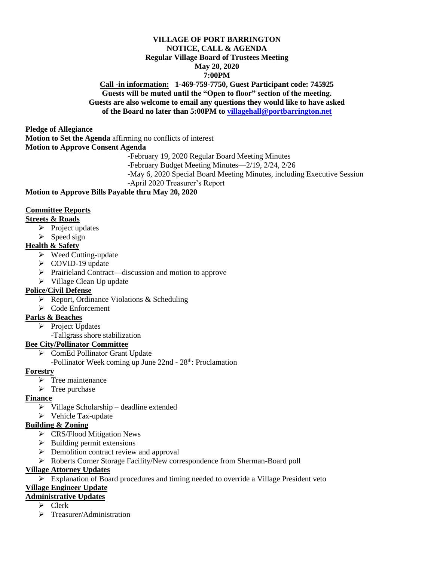#### **VILLAGE OF PORT BARRINGTON NOTICE, CALL & AGENDA Regular Village Board of Trustees Meeting May 20, 2020 7:00PM**

#### **Call -in information: 1-469-759-7750, Guest Participant code: 745925 Guests will be muted until the "Open to floor" section of the meeting. Guests are also welcome to email any questions they would like to have asked of the Board no later than 5:00PM to [villagehall@portbarrington.net](mailto:villagehall@portbarrington.net)**

**Pledge of Allegiance**

**Motion to Set the Agenda** affirming no conflicts of interest

**Motion to Approve Consent Agenda**

**-**February 19, 2020 Regular Board Meeting Minutes

-February Budget Meeting Minutes—2/19, 2/24, 2/26

-May 6, 2020 Special Board Meeting Minutes, including Executive Session

-April 2020 Treasurer's Report

#### **Motion to Approve Bills Payable thru May 20, 2020**

#### **Committee Reports**

#### **Streets & Roads**

- ➢ Project updates
- $\triangleright$  Speed sign

# **Health & Safety**

- ➢ Weed Cutting-update
- ➢ COVID-19 update
- ➢ Prairieland Contract—discussion and motion to approve
- ➢ Village Clean Up update

# **Police/Civil Defense**

- ➢ Report, Ordinance Violations & Scheduling
- ➢ Code Enforcement

# **Parks & Beaches**

- ➢ Project Updates
	- -Tallgrass shore stabilization

# **Bee City/Pollinator Committee**

➢ ComEd Pollinator Grant Update

-Pollinator Week coming up June 22nd - 28<sup>th</sup>: Proclamation

#### **Forestry**

- $\triangleright$  Tree maintenance
- ➢ Tree purchase

# **Finance**

- ➢ Village Scholarship deadline extended
- ➢ Vehicle Tax-update

# **Building & Zoning**

- ➢ CRS/Flood Mitigation News
- ➢ Building permit extensions
- ➢ Demolition contract review and approval
- ➢ Roberts Corner Storage Facility/New correspondence from Sherman-Board poll

# **Village Attorney Updates**

 $\triangleright$  Explanation of Board procedures and timing needed to override a Village President veto

# **Village Engineer Update**

# **Administrative Updates**

- ➢ Clerk
- ➢ Treasurer/Administration